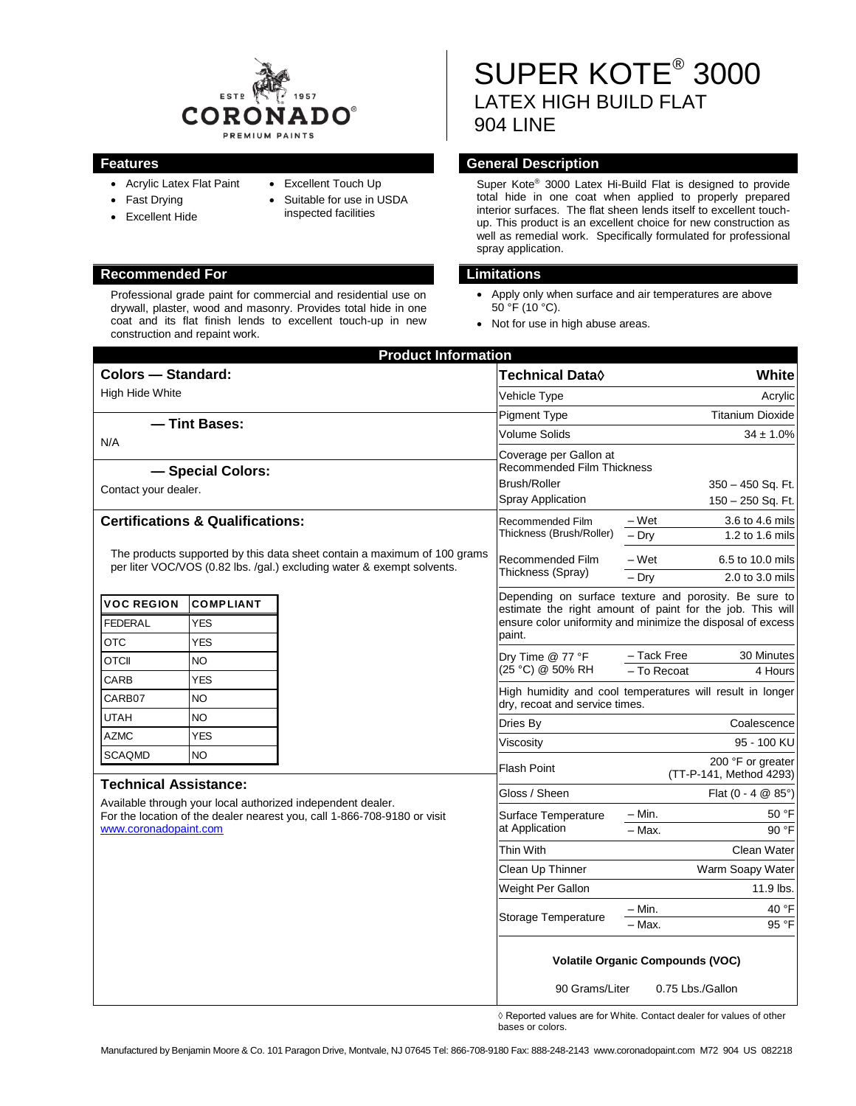

- Acrylic Latex Flat Paint
- Fast Drying
- Excellent Touch Up
- Excellent Hide • Suitable for use in USDA inspected facilities

Professional grade paint for commercial and residential use on drywall, plaster, wood and masonry. Provides total hide in one coat and its flat finish lends to excellent touch-up in new construction and repaint work.

SUPER KOTE® 3000 LATEX HIGH BUILD FLAT 904 LINE

# **Features Features General Description**

Super Kote® 3000 Latex Hi-Build Flat is designed to provide total hide in one coat when applied to properly prepared interior surfaces. The flat sheen lends itself to excellent touchup. This product is an excellent choice for new construction as well as remedial work. Specifically formulated for professional spray application.

### **Recommended For Limitations**

- Apply only when surface and air temperatures are above  $50^{\circ}$ F (10 $^{\circ}$ C).
- Not for use in high abuse areas.

| <b>Product Information</b>                                                                                                                                                                       |                         |           |                                                                                                                                                                                   |                                                         |
|--------------------------------------------------------------------------------------------------------------------------------------------------------------------------------------------------|-------------------------|-----------|-----------------------------------------------------------------------------------------------------------------------------------------------------------------------------------|---------------------------------------------------------|
| <b>Colors - Standard:</b>                                                                                                                                                                        |                         |           | <b>Technical Data</b> ♦                                                                                                                                                           | White                                                   |
| High Hide White                                                                                                                                                                                  |                         |           | Vehicle Type                                                                                                                                                                      | Acrylic                                                 |
| - Tint Bases:                                                                                                                                                                                    |                         |           | <b>Pigment Type</b>                                                                                                                                                               | <b>Titanium Dioxide</b>                                 |
| N/A                                                                                                                                                                                              |                         |           | Volume Solids                                                                                                                                                                     | $34 \pm 1.0\%$                                          |
| - Special Colors:<br>Contact your dealer.                                                                                                                                                        |                         |           | Coverage per Gallon at<br><b>Recommended Film Thickness</b><br><b>Brush/Roller</b><br>350 - 450 Sq. Ft.                                                                           |                                                         |
|                                                                                                                                                                                                  |                         |           | Spray Application                                                                                                                                                                 | 150 - 250 Sq. Ft.                                       |
| <b>Certifications &amp; Qualifications:</b>                                                                                                                                                      |                         |           | Recommended Film<br>Thickness (Brush/Roller)                                                                                                                                      | – Wet<br>3.6 to 4.6 mils<br>1.2 to 1.6 mils<br>$-$ Drv  |
| The products supported by this data sheet contain a maximum of 100 grams<br>per liter VOC/VOS (0.82 lbs. /gal.) excluding water & exempt solvents.                                               |                         |           | Recommended Film<br>Thickness (Spray)                                                                                                                                             | – Wet<br>6.5 to 10.0 mils<br>$-$ Dry<br>2.0 to 3.0 mils |
| <b>VOC REGION</b><br><b>FEDERAL</b>                                                                                                                                                              | <b>COMPLIANT</b><br>YES |           | Depending on surface texture and porosity. Be sure to<br>estimate the right amount of paint for the job. This will<br>ensure color uniformity and minimize the disposal of excess |                                                         |
| OTC                                                                                                                                                                                              | YES                     |           | paint.                                                                                                                                                                            |                                                         |
| <b>OTCII</b>                                                                                                                                                                                     | <b>NO</b>               |           | Dry Time @ 77 °F<br>(25 °C) @ 50% RH                                                                                                                                              | - Tack Free<br>30 Minutes                               |
| CARB                                                                                                                                                                                             | YES                     |           |                                                                                                                                                                                   | - To Recoat<br>4 Hours                                  |
| CARB07                                                                                                                                                                                           | <b>NO</b>               |           | High humidity and cool temperatures will result in longer<br>dry, recoat and service times.                                                                                       |                                                         |
| UTAH                                                                                                                                                                                             | <b>NO</b>               |           | Dries By                                                                                                                                                                          | Coalescence                                             |
| <b>AZMC</b>                                                                                                                                                                                      | <b>YES</b>              |           | Viscosity                                                                                                                                                                         | 95 - 100 KU                                             |
| <b>SCAQMD</b>                                                                                                                                                                                    | <b>NO</b>               |           | <b>Flash Point</b>                                                                                                                                                                | 200 °F or greater<br>(TT-P-141, Method 4293)            |
| <b>Technical Assistance:</b><br>Available through your local authorized independent dealer.<br>For the location of the dealer nearest you, call 1-866-708-9180 or visit<br>www.coronadopaint.com |                         |           | Gloss / Sheen                                                                                                                                                                     | Flat $(0 - 4 \ @ 85^{\circ})$                           |
|                                                                                                                                                                                                  |                         |           | Surface Temperature<br>at Application                                                                                                                                             | 50 °F<br>– Min.<br>- Max.<br>90 °F                      |
|                                                                                                                                                                                                  |                         | Thin With | Clean Water                                                                                                                                                                       |                                                         |
|                                                                                                                                                                                                  |                         |           | Clean Up Thinner                                                                                                                                                                  | Warm Soapy Water                                        |
|                                                                                                                                                                                                  |                         |           | Weight Per Gallon                                                                                                                                                                 | 11.9 lbs.                                               |
|                                                                                                                                                                                                  |                         |           | Storage Temperature                                                                                                                                                               | 40 °F<br>– Min.<br>- Max.<br>95 °F                      |
|                                                                                                                                                                                                  |                         |           | <b>Volatile Organic Compounds (VOC)</b><br>90 Grams/Liter<br>0.75 Lbs./Gallon                                                                                                     |                                                         |

◊ Reported values are for White. Contact dealer for values of other bases or colors.